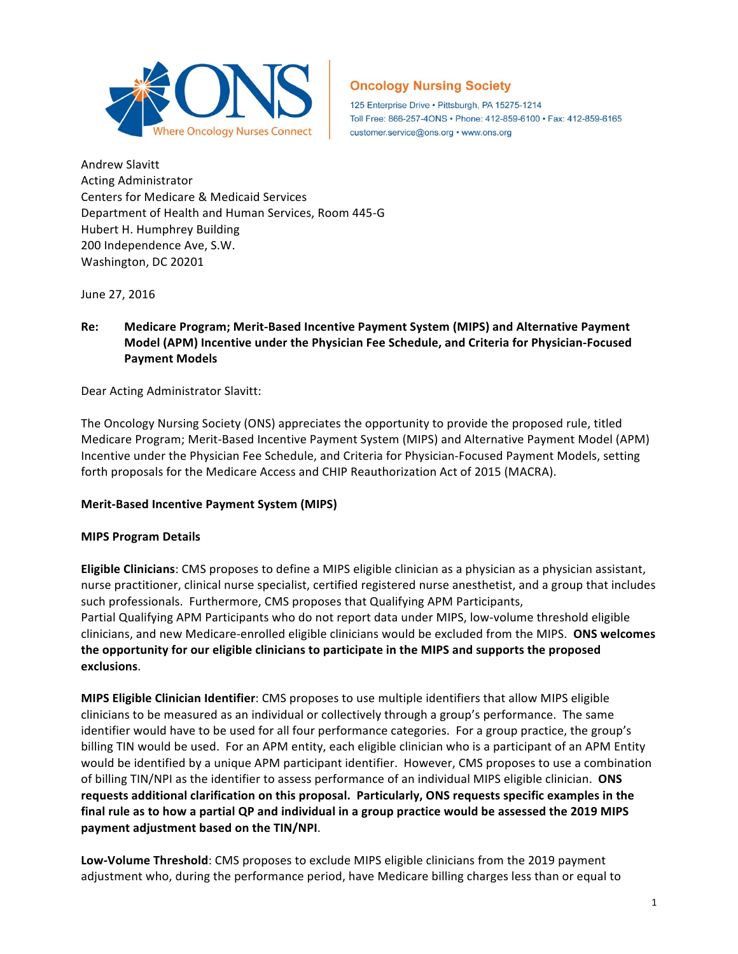

125 Enterprise Drive · Pittsburgh, PA 15275-1214 Toll Free: 866-257-4ONS · Phone: 412-859-6100 · Fax: 412-859-6165 customer.service@ons.org • www.ons.org

Andrew Slavitt Acting Administrator Centers for Medicare & Medicaid Services Department of Health and Human Services, Room 445-G Hubert H. Humphrey Building 200 Independence Ave, S.W. Washington, DC 20201

June 27, 2016

# Re: Medicare Program; Merit-Based Incentive Payment System (MIPS) and Alternative Payment Model (APM) Incentive under the Physician Fee Schedule, and Criteria for Physician-Focused **Payment Models**

## Dear Acting Administrator Slavitt:

The Oncology Nursing Society (ONS) appreciates the opportunity to provide the proposed rule, titled Medicare Program; Merit-Based Incentive Payment System (MIPS) and Alternative Payment Model (APM) Incentive under the Physician Fee Schedule, and Criteria for Physician-Focused Payment Models, setting forth proposals for the Medicare Access and CHIP Reauthorization Act of 2015 (MACRA).

## **Merit-Based Incentive Payment System (MIPS)**

## **MIPS Program Details**

**Eligible Clinicians**: CMS proposes to define a MIPS eligible clinician as a physician as a physician assistant, nurse practitioner, clinical nurse specialist, certified registered nurse anesthetist, and a group that includes such professionals. Furthermore, CMS proposes that Qualifying APM Participants, Partial Qualifying APM Participants who do not report data under MIPS, low-volume threshold eligible clinicians, and new Medicare-enrolled eligible clinicians would be excluded from the MIPS. ONS welcomes the opportunity for our eligible clinicians to participate in the MIPS and supports the proposed **exclusions**. 

**MIPS Eligible Clinician Identifier**: CMS proposes to use multiple identifiers that allow MIPS eligible clinicians to be measured as an individual or collectively through a group's performance. The same identifier would have to be used for all four performance categories. For a group practice, the group's billing TIN would be used. For an APM entity, each eligible clinician who is a participant of an APM Entity would be identified by a unique APM participant identifier. However, CMS proposes to use a combination of billing TIN/NPI as the identifier to assess performance of an individual MIPS eligible clinician. ONS requests additional clarification on this proposal. Particularly, ONS requests specific examples in the final rule as to how a partial QP and individual in a group practice would be assessed the 2019 MIPS payment adjustment based on the TIN/NPI.

Low-Volume Threshold: CMS proposes to exclude MIPS eligible clinicians from the 2019 payment adjustment who, during the performance period, have Medicare billing charges less than or equal to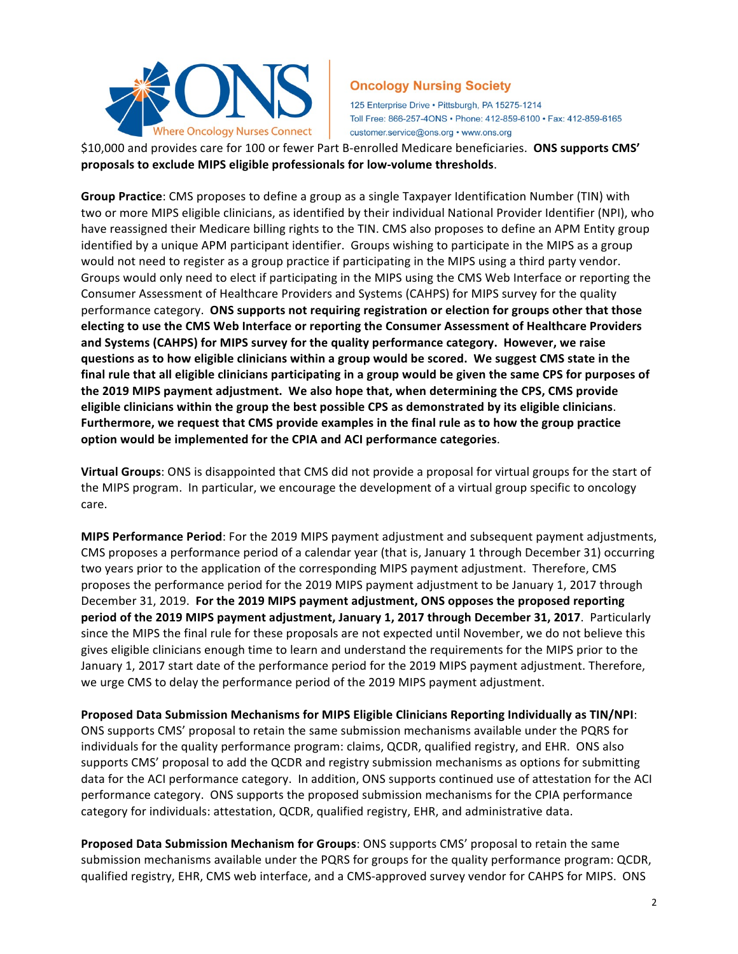

125 Enterprise Drive · Pittsburgh, PA 15275-1214 Toll Free: 866-257-4ONS · Phone: 412-859-6100 · Fax: 412-859-6165 customer.service@ons.org • www.ons.org

\$10,000 and provides care for 100 or fewer Part B-enrolled Medicare beneficiaries. ONS supports CMS' proposals to exclude MIPS eligible professionals for low-volume thresholds.

**Group Practice**: CMS proposes to define a group as a single Taxpayer Identification Number (TIN) with two or more MIPS eligible clinicians, as identified by their individual National Provider Identifier (NPI), who have reassigned their Medicare billing rights to the TIN. CMS also proposes to define an APM Entity group identified by a unique APM participant identifier. Groups wishing to participate in the MIPS as a group would not need to register as a group practice if participating in the MIPS using a third party vendor. Groups would only need to elect if participating in the MIPS using the CMS Web Interface or reporting the Consumer Assessment of Healthcare Providers and Systems (CAHPS) for MIPS survey for the quality performance category. ONS supports not requiring registration or election for groups other that those electing to use the CMS Web Interface or reporting the Consumer Assessment of Healthcare Providers and Systems (CAHPS) for MIPS survey for the quality performance category. However, we raise questions as to how eligible clinicians within a group would be scored. We suggest CMS state in the final rule that all eligible clinicians participating in a group would be given the same CPS for purposes of the 2019 MIPS payment adjustment. We also hope that, when determining the CPS, CMS provide eligible clinicians within the group the best possible CPS as demonstrated by its eligible clinicians. Furthermore, we request that CMS provide examples in the final rule as to how the group practice **option would be implemented for the CPIA and ACI performance categories.** 

**Virtual Groups**: ONS is disappointed that CMS did not provide a proposal for virtual groups for the start of the MIPS program. In particular, we encourage the development of a virtual group specific to oncology care. 

**MIPS Performance Period**: For the 2019 MIPS payment adjustment and subsequent payment adjustments, CMS proposes a performance period of a calendar year (that is, January 1 through December 31) occurring two years prior to the application of the corresponding MIPS payment adjustment. Therefore, CMS proposes the performance period for the 2019 MIPS payment adjustment to be January 1, 2017 through December 31, 2019. For the 2019 MIPS payment adjustment, ONS opposes the proposed reporting **period of the 2019 MIPS payment adjustment, January 1, 2017 through December 31, 2017**. Particularly since the MIPS the final rule for these proposals are not expected until November, we do not believe this gives eligible clinicians enough time to learn and understand the requirements for the MIPS prior to the January 1, 2017 start date of the performance period for the 2019 MIPS payment adjustment. Therefore, we urge CMS to delay the performance period of the 2019 MIPS payment adjustment.

**Proposed Data Submission Mechanisms for MIPS Eligible Clinicians Reporting Individually as TIN/NPI:** ONS supports CMS' proposal to retain the same submission mechanisms available under the PQRS for individuals for the quality performance program: claims, QCDR, qualified registry, and EHR. ONS also supports CMS' proposal to add the QCDR and registry submission mechanisms as options for submitting data for the ACI performance category. In addition, ONS supports continued use of attestation for the ACI performance category. ONS supports the proposed submission mechanisms for the CPIA performance category for individuals: attestation, QCDR, qualified registry, EHR, and administrative data.

**Proposed Data Submission Mechanism for Groups:** ONS supports CMS' proposal to retain the same submission mechanisms available under the PQRS for groups for the quality performance program: QCDR, qualified registry, EHR, CMS web interface, and a CMS-approved survey vendor for CAHPS for MIPS. ONS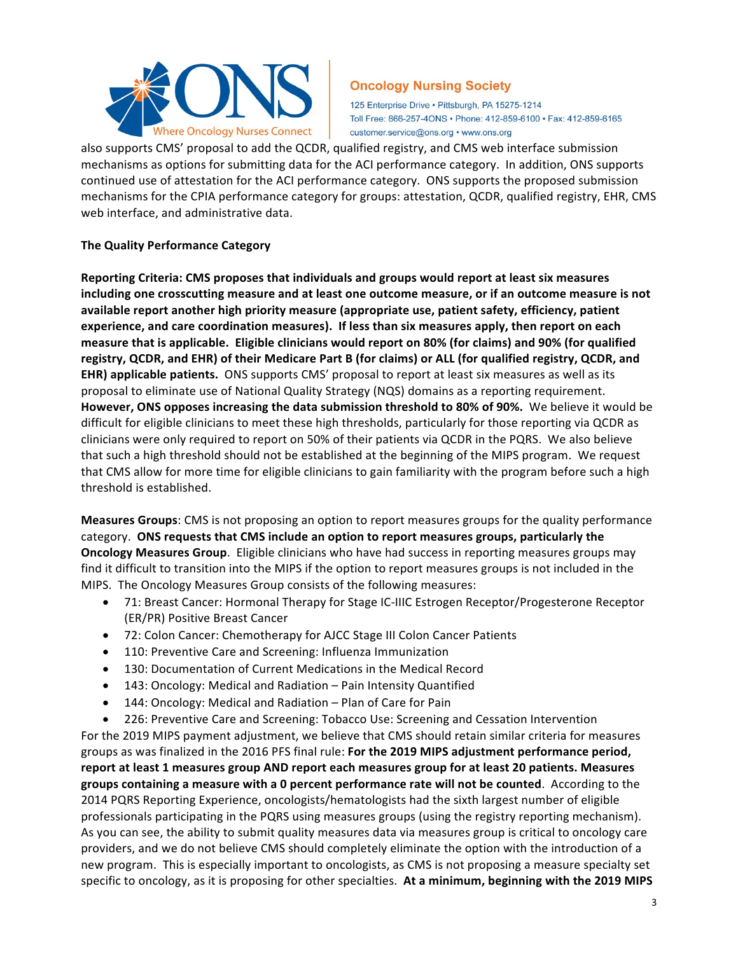

125 Enterprise Drive · Pittsburgh, PA 15275-1214 Toll Free: 866-257-4ONS · Phone: 412-859-6100 · Fax: 412-859-6165 customer.service@ons.org • www.ons.org

also supports CMS' proposal to add the QCDR, qualified registry, and CMS web interface submission mechanisms as options for submitting data for the ACI performance category. In addition, ONS supports continued use of attestation for the ACI performance category. ONS supports the proposed submission mechanisms for the CPIA performance category for groups: attestation, QCDR, qualified registry, EHR, CMS web interface, and administrative data.

## **The Quality Performance Category**

Reporting Criteria: CMS proposes that individuals and groups would report at least six measures including one crosscutting measure and at least one outcome measure, or if an outcome measure is not available report another high priority measure (appropriate use, patient safety, efficiency, patient experience, and care coordination measures). If less than six measures apply, then report on each measure that is applicable. Eligible clinicians would report on 80% (for claims) and 90% (for qualified registry, QCDR, and EHR) of their Medicare Part B (for claims) or ALL (for qualified registry, QCDR, and **EHR) applicable patients.** ONS supports CMS' proposal to report at least six measures as well as its proposal to eliminate use of National Quality Strategy (NQS) domains as a reporting requirement. However, ONS opposes increasing the data submission threshold to 80% of 90%. We believe it would be difficult for eligible clinicians to meet these high thresholds, particularly for those reporting via QCDR as clinicians were only required to report on 50% of their patients via QCDR in the PQRS. We also believe that such a high threshold should not be established at the beginning of the MIPS program. We request that CMS allow for more time for eligible clinicians to gain familiarity with the program before such a high threshold is established.

**Measures Groups:** CMS is not proposing an option to report measures groups for the quality performance category. ONS requests that CMS include an option to report measures groups, particularly the **Oncology Measures Group.** Eligible clinicians who have had success in reporting measures groups may find it difficult to transition into the MIPS if the option to report measures groups is not included in the MIPS. The Oncology Measures Group consists of the following measures:

- 71: Breast Cancer: Hormonal Therapy for Stage IC-IIIC Estrogen Receptor/Progesterone Receptor (ER/PR) Positive Breast Cancer
- 72: Colon Cancer: Chemotherapy for AJCC Stage III Colon Cancer Patients
- 110: Preventive Care and Screening: Influenza Immunization
- 130: Documentation of Current Medications in the Medical Record
- 143: Oncology: Medical and Radiation Pain Intensity Quantified
- 144: Oncology: Medical and Radiation Plan of Care for Pain
- 226: Preventive Care and Screening: Tobacco Use: Screening and Cessation Intervention

For the 2019 MIPS payment adjustment, we believe that CMS should retain similar criteria for measures groups as was finalized in the 2016 PFS final rule: For the 2019 MIPS adjustment performance period, report at least 1 measures group AND report each measures group for at least 20 patients. Measures groups containing a measure with a 0 percent performance rate will not be counted. According to the 2014 PQRS Reporting Experience, oncologists/hematologists had the sixth largest number of eligible professionals participating in the PQRS using measures groups (using the registry reporting mechanism). As you can see, the ability to submit quality measures data via measures group is critical to oncology care providers, and we do not believe CMS should completely eliminate the option with the introduction of a new program. This is especially important to oncologists, as CMS is not proposing a measure specialty set specific to oncology, as it is proposing for other specialties. At a minimum, beginning with the 2019 MIPS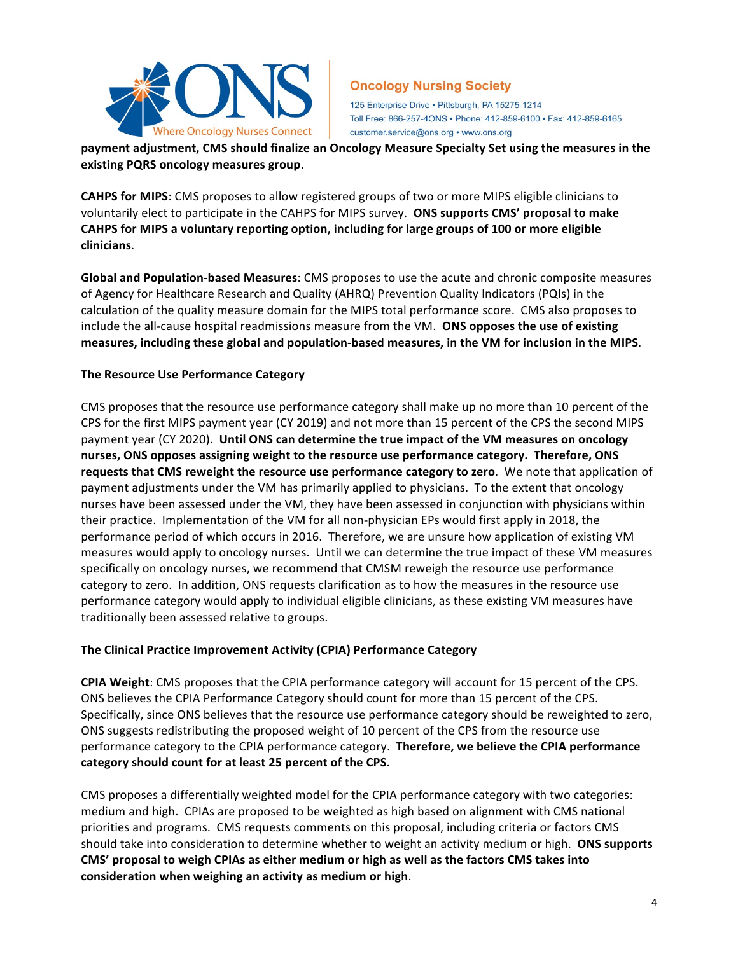

125 Enterprise Drive · Pittsburgh, PA 15275-1214 Toll Free: 866-257-4ONS · Phone: 412-859-6100 · Fax: 412-859-6165 customer.service@ons.org • www.ons.org

payment adjustment, CMS should finalize an Oncology Measure Specialty Set using the measures in the **existing PQRS oncology measures group**. 

**CAHPS for MIPS**: CMS proposes to allow registered groups of two or more MIPS eligible clinicians to voluntarily elect to participate in the CAHPS for MIPS survey. ONS supports CMS' proposal to make CAHPS for MIPS a voluntary reporting option, including for large groups of 100 or more eligible **clinicians**. 

**Global and Population-based Measures**: CMS proposes to use the acute and chronic composite measures of Agency for Healthcare Research and Quality (AHRQ) Prevention Quality Indicators (PQIs) in the calculation of the quality measure domain for the MIPS total performance score. CMS also proposes to include the all-cause hospital readmissions measure from the VM. **ONS opposes the use of existing** measures, including these global and population-based measures, in the VM for inclusion in the MIPS.

## **The Resource Use Performance Category**

CMS proposes that the resource use performance category shall make up no more than 10 percent of the CPS for the first MIPS payment year (CY 2019) and not more than 15 percent of the CPS the second MIPS payment year (CY 2020). Until ONS can determine the true impact of the VM measures on oncology nurses, ONS opposes assigning weight to the resource use performance category. Therefore, ONS requests that CMS reweight the resource use performance category to zero. We note that application of payment adjustments under the VM has primarily applied to physicians. To the extent that oncology nurses have been assessed under the VM, they have been assessed in conjunction with physicians within their practice. Implementation of the VM for all non-physician EPs would first apply in 2018, the performance period of which occurs in 2016. Therefore, we are unsure how application of existing VM measures would apply to oncology nurses. Until we can determine the true impact of these VM measures specifically on oncology nurses, we recommend that CMSM reweigh the resource use performance category to zero. In addition, ONS requests clarification as to how the measures in the resource use performance category would apply to individual eligible clinicians, as these existing VM measures have traditionally been assessed relative to groups.

## **The Clinical Practice Improvement Activity (CPIA) Performance Category**

**CPIA Weight:** CMS proposes that the CPIA performance category will account for 15 percent of the CPS. ONS believes the CPIA Performance Category should count for more than 15 percent of the CPS. Specifically, since ONS believes that the resource use performance category should be reweighted to zero, ONS suggests redistributing the proposed weight of 10 percent of the CPS from the resource use performance category to the CPIA performance category. **Therefore, we believe the CPIA performance** category should count for at least 25 percent of the CPS.

CMS proposes a differentially weighted model for the CPIA performance category with two categories: medium and high. CPIAs are proposed to be weighted as high based on alignment with CMS national priorities and programs. CMS requests comments on this proposal, including criteria or factors CMS should take into consideration to determine whether to weight an activity medium or high. ONS supports CMS' proposal to weigh CPIAs as either medium or high as well as the factors CMS takes into consideration when weighing an activity as medium or high.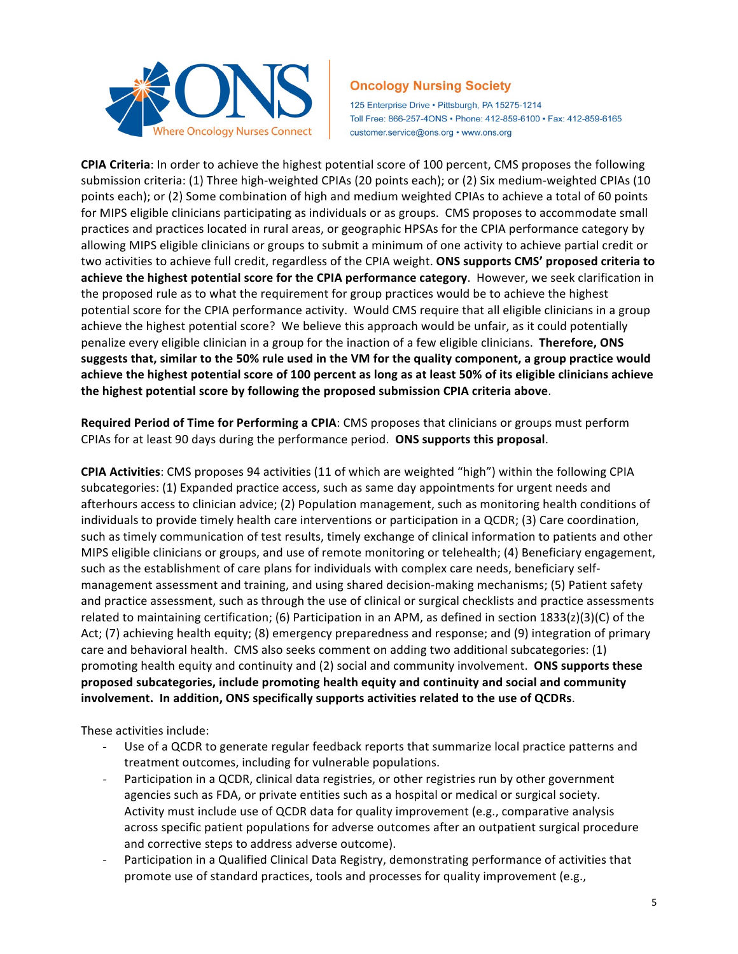

125 Enterprise Drive · Pittsburgh, PA 15275-1214 Toll Free: 866-257-4ONS · Phone: 412-859-6100 · Fax: 412-859-6165 customer.service@ons.org • www.ons.org

**CPIA Criteria**: In order to achieve the highest potential score of 100 percent, CMS proposes the following submission criteria: (1) Three high-weighted CPIAs (20 points each); or (2) Six medium-weighted CPIAs (10 points each); or (2) Some combination of high and medium weighted CPIAs to achieve a total of 60 points for MIPS eligible clinicians participating as individuals or as groups. CMS proposes to accommodate small practices and practices located in rural areas, or geographic HPSAs for the CPIA performance category by allowing MIPS eligible clinicians or groups to submit a minimum of one activity to achieve partial credit or two activities to achieve full credit, regardless of the CPIA weight. **ONS supports CMS' proposed criteria to** achieve the highest potential score for the CPIA performance category. However, we seek clarification in the proposed rule as to what the requirement for group practices would be to achieve the highest potential score for the CPIA performance activity. Would CMS require that all eligible clinicians in a group achieve the highest potential score? We believe this approach would be unfair, as it could potentially penalize every eligible clinician in a group for the inaction of a few eligible clinicians. **Therefore, ONS** suggests that, similar to the 50% rule used in the VM for the quality component, a group practice would achieve the highest potential score of 100 percent as long as at least 50% of its eligible clinicians achieve the highest potential score by following the proposed submission CPIA criteria above.

**Required Period of Time for Performing a CPIA**: CMS proposes that clinicians or groups must perform CPIAs for at least 90 days during the performance period. ONS supports this proposal.

**CPIA Activities**: CMS proposes 94 activities (11 of which are weighted "high") within the following CPIA subcategories: (1) Expanded practice access, such as same day appointments for urgent needs and afterhours access to clinician advice; (2) Population management, such as monitoring health conditions of individuals to provide timely health care interventions or participation in a QCDR; (3) Care coordination, such as timely communication of test results, timely exchange of clinical information to patients and other MIPS eligible clinicians or groups, and use of remote monitoring or telehealth; (4) Beneficiary engagement, such as the establishment of care plans for individuals with complex care needs, beneficiary selfmanagement assessment and training, and using shared decision-making mechanisms; (5) Patient safety and practice assessment, such as through the use of clinical or surgical checklists and practice assessments related to maintaining certification; (6) Participation in an APM, as defined in section  $1833(z)(3)(C)$  of the Act; (7) achieving health equity; (8) emergency preparedness and response; and (9) integration of primary care and behavioral health. CMS also seeks comment on adding two additional subcategories: (1) promoting health equity and continuity and (2) social and community involvement. **ONS supports these** proposed subcategories, include promoting health equity and continuity and social and community involvement. In addition, ONS specifically supports activities related to the use of QCDRs.

These activities include:

- Use of a QCDR to generate regular feedback reports that summarize local practice patterns and treatment outcomes, including for vulnerable populations.
- Participation in a QCDR, clinical data registries, or other registries run by other government agencies such as FDA, or private entities such as a hospital or medical or surgical society. Activity must include use of QCDR data for quality improvement (e.g., comparative analysis across specific patient populations for adverse outcomes after an outpatient surgical procedure and corrective steps to address adverse outcome).
- Participation in a Qualified Clinical Data Registry, demonstrating performance of activities that promote use of standard practices, tools and processes for quality improvement (e.g.,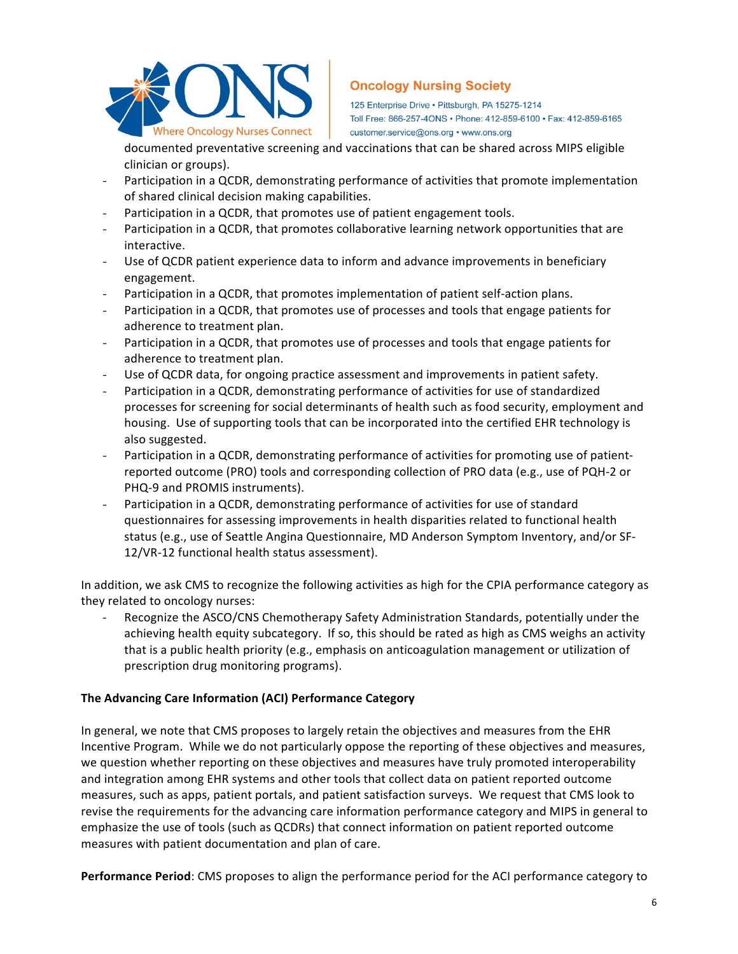

125 Enterprise Drive · Pittsburgh, PA 15275-1214 Toll Free: 866-257-4ONS · Phone: 412-859-6100 · Fax: 412-859-6165 customer.service@ons.org • www.ons.org

documented preventative screening and vaccinations that can be shared across MIPS eligible clinician or groups).

- Participation in a QCDR, demonstrating performance of activities that promote implementation of shared clinical decision making capabilities.
- Participation in a QCDR, that promotes use of patient engagement tools.
- Participation in a QCDR, that promotes collaborative learning network opportunities that are interactive.
- Use of QCDR patient experience data to inform and advance improvements in beneficiary engagement.
- Participation in a QCDR, that promotes implementation of patient self-action plans.
- Participation in a QCDR, that promotes use of processes and tools that engage patients for adherence to treatment plan.
- Participation in a QCDR, that promotes use of processes and tools that engage patients for adherence to treatment plan.
- Use of QCDR data, for ongoing practice assessment and improvements in patient safety.
- Participation in a QCDR, demonstrating performance of activities for use of standardized processes for screening for social determinants of health such as food security, employment and housing. Use of supporting tools that can be incorporated into the certified EHR technology is also suggested.
- Participation in a QCDR, demonstrating performance of activities for promoting use of patientreported outcome (PRO) tools and corresponding collection of PRO data (e.g., use of PQH-2 or PHQ-9 and PROMIS instruments).
- Participation in a QCDR, demonstrating performance of activities for use of standard questionnaires for assessing improvements in health disparities related to functional health status (e.g., use of Seattle Angina Questionnaire, MD Anderson Symptom Inventory, and/or SF-12/VR-12 functional health status assessment).

In addition, we ask CMS to recognize the following activities as high for the CPIA performance category as they related to oncology nurses:

Recognize the ASCO/CNS Chemotherapy Safety Administration Standards, potentially under the achieving health equity subcategory. If so, this should be rated as high as CMS weighs an activity that is a public health priority (e.g., emphasis on anticoagulation management or utilization of prescription drug monitoring programs).

# **The Advancing Care Information (ACI) Performance Category**

In general, we note that CMS proposes to largely retain the objectives and measures from the EHR Incentive Program. While we do not particularly oppose the reporting of these objectives and measures, we question whether reporting on these objectives and measures have truly promoted interoperability and integration among EHR systems and other tools that collect data on patient reported outcome measures, such as apps, patient portals, and patient satisfaction surveys. We request that CMS look to revise the requirements for the advancing care information performance category and MIPS in general to emphasize the use of tools (such as QCDRs) that connect information on patient reported outcome measures with patient documentation and plan of care.

**Performance Period**: CMS proposes to align the performance period for the ACI performance category to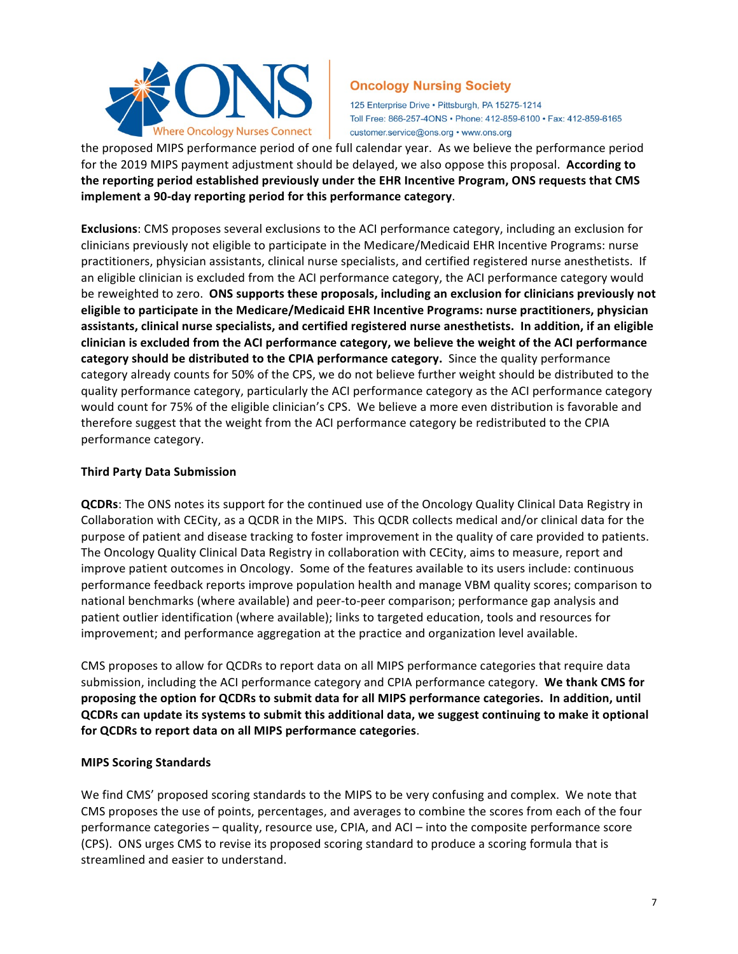

125 Enterprise Drive · Pittsburgh, PA 15275-1214 Toll Free: 866-257-4ONS · Phone: 412-859-6100 · Fax: 412-859-6165 customer.service@ons.org • www.ons.org

the proposed MIPS performance period of one full calendar year. As we believe the performance period for the 2019 MIPS payment adjustment should be delayed, we also oppose this proposal. According to the reporting period established previously under the EHR Incentive Program, ONS requests that CMS implement a 90-day reporting period for this performance category.

**Exclusions**: CMS proposes several exclusions to the ACI performance category, including an exclusion for clinicians previously not eligible to participate in the Medicare/Medicaid EHR Incentive Programs: nurse practitioners, physician assistants, clinical nurse specialists, and certified registered nurse anesthetists. If an eligible clinician is excluded from the ACI performance category, the ACI performance category would be reweighted to zero. **ONS supports these proposals, including an exclusion for clinicians previously not** eligible to participate in the Medicare/Medicaid EHR Incentive Programs: nurse practitioners, physician assistants, clinical nurse specialists, and certified registered nurse anesthetists. In addition, if an eligible clinician is excluded from the ACI performance category, we believe the weight of the ACI performance category should be distributed to the CPIA performance category. Since the quality performance category already counts for 50% of the CPS, we do not believe further weight should be distributed to the quality performance category, particularly the ACI performance category as the ACI performance category would count for 75% of the eligible clinician's CPS. We believe a more even distribution is favorable and therefore suggest that the weight from the ACI performance category be redistributed to the CPIA performance category.

## **Third Party Data Submission**

**QCDRs**: The ONS notes its support for the continued use of the Oncology Quality Clinical Data Registry in Collaboration with CECity, as a QCDR in the MIPS. This QCDR collects medical and/or clinical data for the purpose of patient and disease tracking to foster improvement in the quality of care provided to patients. The Oncology Quality Clinical Data Registry in collaboration with CECity, aims to measure, report and improve patient outcomes in Oncology. Some of the features available to its users include: continuous performance feedback reports improve population health and manage VBM quality scores; comparison to national benchmarks (where available) and peer-to-peer comparison; performance gap analysis and patient outlier identification (where available); links to targeted education, tools and resources for improvement; and performance aggregation at the practice and organization level available.

CMS proposes to allow for QCDRs to report data on all MIPS performance categories that require data submission, including the ACI performance category and CPIA performance category. We thank CMS for proposing the option for QCDRs to submit data for all MIPS performance categories. In addition, until **QCDRs can update its systems to submit this additional data, we suggest continuing to make it optional** for QCDRs to report data on all MIPS performance categories.

## **MIPS Scoring Standards**

We find CMS' proposed scoring standards to the MIPS to be very confusing and complex. We note that CMS proposes the use of points, percentages, and averages to combine the scores from each of the four performance categories – quality, resource use, CPIA, and ACI – into the composite performance score (CPS). ONS urges CMS to revise its proposed scoring standard to produce a scoring formula that is streamlined and easier to understand.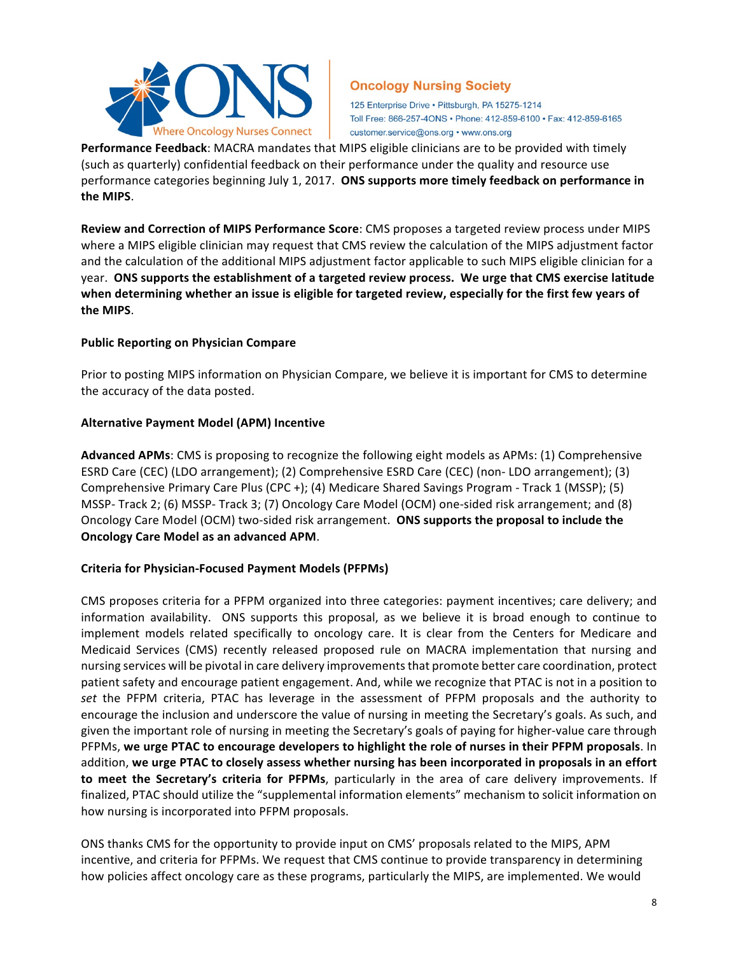

125 Enterprise Drive · Pittsburgh, PA 15275-1214 Toll Free: 866-257-4ONS · Phone: 412-859-6100 · Fax: 412-859-6165 customer.service@ons.org • www.ons.org

**Performance Feedback**: MACRA mandates that MIPS eligible clinicians are to be provided with timely (such as quarterly) confidential feedback on their performance under the quality and resource use performance categories beginning July 1, 2017. ONS supports more timely feedback on performance in **the MIPS**. 

**Review and Correction of MIPS Performance Score**: CMS proposes a targeted review process under MIPS where a MIPS eligible clinician may request that CMS review the calculation of the MIPS adjustment factor and the calculation of the additional MIPS adjustment factor applicable to such MIPS eligible clinician for a year. ONS supports the establishment of a targeted review process. We urge that CMS exercise latitude when determining whether an issue is eligible for targeted review, especially for the first few years of **the MIPS**.

## **Public Reporting on Physician Compare**

Prior to posting MIPS information on Physician Compare, we believe it is important for CMS to determine the accuracy of the data posted.

## **Alternative Payment Model (APM) Incentive**

Advanced APMs: CMS is proposing to recognize the following eight models as APMs: (1) Comprehensive ESRD Care (CEC) (LDO arrangement); (2) Comprehensive ESRD Care (CEC) (non- LDO arrangement); (3) Comprehensive Primary Care Plus (CPC +); (4) Medicare Shared Savings Program - Track 1 (MSSP); (5) MSSP- Track 2; (6) MSSP- Track 3; (7) Oncology Care Model (OCM) one-sided risk arrangement; and (8) Oncology Care Model (OCM) two-sided risk arrangement. **ONS supports the proposal to include the Oncology Care Model as an advanced APM.** 

# **Criteria for Physician-Focused Payment Models (PFPMs)**

CMS proposes criteria for a PFPM organized into three categories: payment incentives; care delivery; and information availability. ONS supports this proposal, as we believe it is broad enough to continue to implement models related specifically to oncology care. It is clear from the Centers for Medicare and Medicaid Services (CMS) recently released proposed rule on MACRA implementation that nursing and nursing services will be pivotal in care delivery improvements that promote better care coordination, protect patient safety and encourage patient engagement. And, while we recognize that PTAC is not in a position to set the PFPM criteria, PTAC has leverage in the assessment of PFPM proposals and the authority to encourage the inclusion and underscore the value of nursing in meeting the Secretary's goals. As such, and given the important role of nursing in meeting the Secretary's goals of paying for higher-value care through PFPMs, we urge PTAC to encourage developers to highlight the role of nurses in their PFPM proposals. In addition, we urge PTAC to closely assess whether nursing has been incorporated in proposals in an effort **to meet the Secretary's criteria for PFPMs**, particularly in the area of care delivery improvements. If finalized, PTAC should utilize the "supplemental information elements" mechanism to solicit information on how nursing is incorporated into PFPM proposals.

ONS thanks CMS for the opportunity to provide input on CMS' proposals related to the MIPS, APM incentive, and criteria for PFPMs. We request that CMS continue to provide transparency in determining how policies affect oncology care as these programs, particularly the MIPS, are implemented. We would